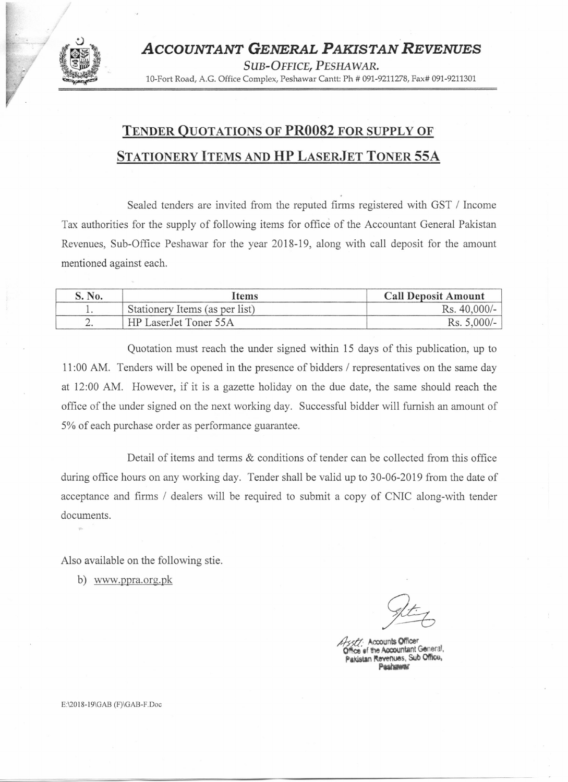

## TENDER QUOTATIONS OF **PR0082** FOR SUPPLY OF STATIONERY ITEMS AND **HP** LASERJET TONER 55A

Sealed tenders are invited from the reputed firms registered with GST *1* Income Tax authorities for the supply of following items for office of the Accountant General Pakistan Revenues, Sub-Office Peshawar for the year 2018-19, along with call deposit for the amount mentioned against each.

| No.      | <b>Items</b>                   | <b>Call Deposit Amount</b> |
|----------|--------------------------------|----------------------------|
|          | Stationery Items (as per list) | $Rs. 40,000/-$             |
| <u>.</u> | HP LaserJet Toner 55A          | $Rs. 5,000/-$ .            |

Quotation must reach the under signed within 15 days of this publication, up to 11:00 AM. Tenders will be opened in the presence of bidders *1* representatives on the same day at 12:00 AM. However, if it is a gazette holiday on the due date, the same should reach the office of the under signed on the next working day. Successful bidder will furnish an amount of 5% of each purchase order as performance guarantee.

Detail of items and terms & conditions of tender can be collected from this office during office hours on any working day. Tender shall be valid up to 30-06-2019 from the date of acceptance and firms *1* dealers will be required to submit a copy of CNIC along-with tender documents.

Also available on the following stie.

b) www.ppra.org.pk

Accounts Office  $e$  of the Accountant General. Pakenues, Sub Office.

E:\20 J8-J9\GAB (F)\GAB-F.Doc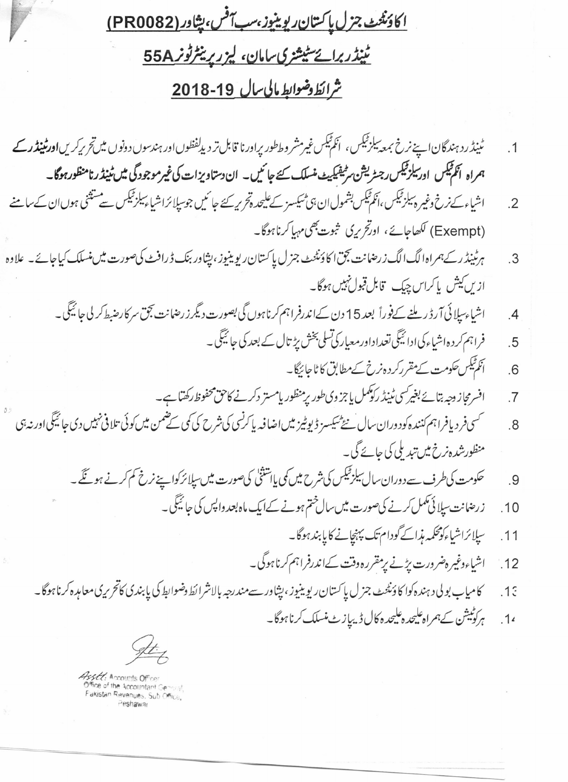<u>اكادَنْتُ جزل پاكستان ريوينيوز، سب آفس، پشاور (PR0082)</u> <u>ٹینڈربرائے سٹیشزی سامان، لیزر پرینٹرٹونر 55A</u>

## شرائط وضوابط مالي سال 19-2018

ٹینڈ رد ہندگان اپنے نرخ بمعہ ساب<sup>قی</sup>کس ، اَنکم<sup>تیک</sup>س غیرمشر وططور پراورنا قابل تر دیدلفظوں اور ہندسوں دونوں میںتحریرکریں**اورٹینڈر کے**  $.1$ ہمراہ انگم ٹیکس اور بیلز ٹیکس رجسٹریشن سر ٹیفیکیٹ منسلک کئے جا ٹیں۔ ان دستاویزات کی غیر موجودگی میں ٹینڈرنامنظورہوگا۔ اشیاء کے زخ وغیر ہیلز ٹیکس ،انکم ٹیکس بشمول ان،پی ٹیکسز کے علیحدہ تحریر کئے جا ئیں جوسیلائراشیاء سلز ٹیکس سے مشتثنى ہوں ان کے سامنے  $\mathcal{P}$ (Exempt) لکھاجائے، اورتح ریک شوت بھی مہاکرناہوگا۔ ہرٹینڈ رکےہمراہ الگ الگ زرحنانت بجق اکاؤنٹیٹ جز ل پاکستان ریوینیوز، پنیاور بنک ڈرافٹ کیصورت میں نیسلک کیاجائے۔ علاوہ  $\cdot$ 3 ازيں کيش پاکراس ڇپڪ قابل قبول نہيں ہوگا۔ اشیاء سپلائی آرڈریلنے کےفوراً بعد15 دن کےاندرفراہم کرناہوں گی بصورت دیگرز رضانت بحق سرکار صبط کر لی جائیگی۔  $\mathcal{A}$ فراہم کر دہ اشیاء کی ادائیگی تعداداور معیار کی تسلی بخش بڑ تال کے بعد کی جائیگی ۔  $\overline{5}$ انکم ٹیکس حکومت کے مقرر کر د ہ نرخ کے مطابق کا ٹاجائیگا۔  $6$ افسرمجاز دجہ بتائے بغیرکسی ٹینڈ رکوکمل پاجز وی طور پرمنظور پامستر دکرنے کاحق محفوظ رکھتاہے۔  $\overline{7}$ <sup>س</sup>سی فر دیافراہم کنندہ کودوران سال ہے پیکسز ڈیوٹیز میں اضافیہ پا کرنسی کی شرح کی کمی کے ممن میں کوئی تلافی نہیں دی جائیگی اور نہ ہی  $8$ منظورشدہ نرخ میں تبدیلی کی جائے گی۔ حکومت کی طرف سے دوران سال سازٹیکس کی شرح میں کمی پا ہشتنی کی صورت میں سپلائر کواپنے نرخ کم کرنے ہو گئے ۔ 9 ز رضانت سلائی کمل کرنے کی صورت میں سال ختم ہونے کے ایک ماہ بعد واپس کی جائیگی ۔  $.10$ سیلائراشیاءکومحکمہ منبراکےگودام تک پہنچانے کا پابند ہوگا۔  $.11$ اشیاءوغیر ہضرورت بڑنے برمقررہ وقت کےاندرفراہم کرناہوگی۔  $.12$ کامیاب بو لی د ہندہ کوا کا دَنٹنٹ جنر ل پاکستان ریوینیوز ،پشاور سے مندرجہ بالانثرائط وضوابط کی پابندی کاتحریری معامدہ کرنا ہوگا۔  $.13$ ہر کوٹیشن کےہمراہ علیحدہ علیحدہ کال ڈیپاز ٹ منسلک کرنا ہوگا۔  $.14$ 

sstt. Accounts Office ice of the Accountant Ge Pakistan Revenues, Sub Office,

Peshawar